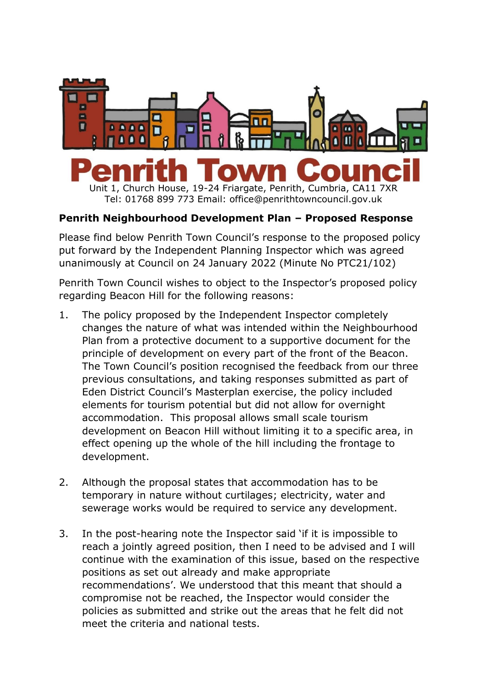

Unit 1, Church House, 19-24 Friargate, Penrith, Cumbria, CA11 7XR Tel: 01768 899 773 Email: office@penrithtowncouncil.gov.uk

## **Penrith Neighbourhood Development Plan – Proposed Response**

Please find below Penrith Town Council's response to the proposed policy put forward by the Independent Planning Inspector which was agreed unanimously at Council on 24 January 2022 (Minute No PTC21/102)

Penrith Town Council wishes to object to the Inspector's proposed policy regarding Beacon Hill for the following reasons:

- 1. The policy proposed by the Independent Inspector completely changes the nature of what was intended within the Neighbourhood Plan from a protective document to a supportive document for the principle of development on every part of the front of the Beacon. The Town Council's position recognised the feedback from our three previous consultations, and taking responses submitted as part of Eden District Council's Masterplan exercise, the policy included elements for tourism potential but did not allow for overnight accommodation. This proposal allows small scale tourism development on Beacon Hill without limiting it to a specific area, in effect opening up the whole of the hill including the frontage to development.
- 2. Although the proposal states that accommodation has to be temporary in nature without curtilages; electricity, water and sewerage works would be required to service any development.
- 3. In the post-hearing note the Inspector said 'if it is impossible to reach a jointly agreed position, then I need to be advised and I will continue with the examination of this issue, based on the respective positions as set out already and make appropriate recommendations'. We understood that this meant that should a compromise not be reached, the Inspector would consider the policies as submitted and strike out the areas that he felt did not meet the criteria and national tests.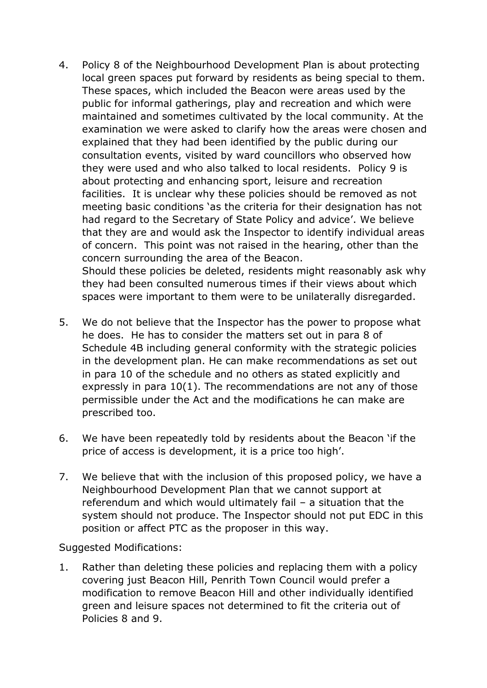4. Policy 8 of the Neighbourhood Development Plan is about protecting local green spaces put forward by residents as being special to them. These spaces, which included the Beacon were areas used by the public for informal gatherings, play and recreation and which were maintained and sometimes cultivated by the local community. At the examination we were asked to clarify how the areas were chosen and explained that they had been identified by the public during our consultation events, visited by ward councillors who observed how they were used and who also talked to local residents. Policy 9 is about protecting and enhancing sport, leisure and recreation facilities. It is unclear why these policies should be removed as not meeting basic conditions 'as the criteria for their designation has not had regard to the Secretary of State Policy and advice'. We believe that they are and would ask the Inspector to identify individual areas of concern. This point was not raised in the hearing, other than the concern surrounding the area of the Beacon. Should these policies be deleted, residents might reasonably ask why

they had been consulted numerous times if their views about which spaces were important to them were to be unilaterally disregarded.

- 5. We do not believe that the Inspector has the power to propose what he does. He has to consider the matters set out in para 8 of Schedule 4B including general conformity with the strategic policies in the development plan. He can make recommendations as set out in para 10 of the schedule and no others as stated explicitly and expressly in para 10(1). The recommendations are not any of those permissible under the Act and the modifications he can make are prescribed too.
- 6. We have been repeatedly told by residents about the Beacon 'if the price of access is development, it is a price too high'.
- 7. We believe that with the inclusion of this proposed policy, we have a Neighbourhood Development Plan that we cannot support at referendum and which would ultimately fail – a situation that the system should not produce. The Inspector should not put EDC in this position or affect PTC as the proposer in this way.

Suggested Modifications:

1. Rather than deleting these policies and replacing them with a policy covering just Beacon Hill, Penrith Town Council would prefer a modification to remove Beacon Hill and other individually identified green and leisure spaces not determined to fit the criteria out of Policies 8 and 9.